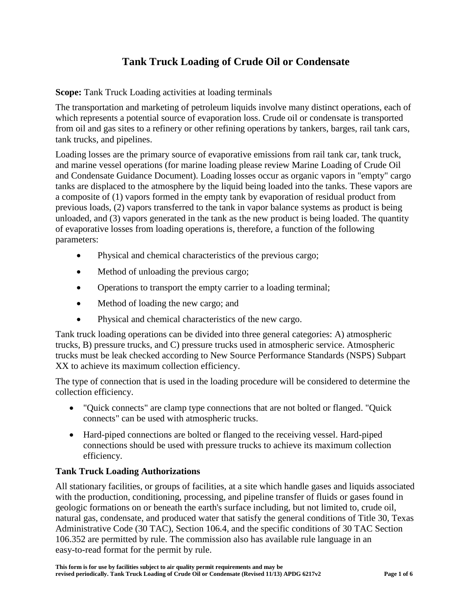# **Tank Truck Loading of Crude Oil or Condensate**

**Scope:** Tank Truck Loading activities at loading terminals

The transportation and marketing of petroleum liquids involve many distinct operations, each of which represents a potential source of evaporation loss. Crude oil or condensate is transported from oil and gas sites to a refinery or other refining operations by tankers, barges, rail tank cars, tank trucks, and pipelines.

Loading losses are the primary source of evaporative emissions from rail tank car, tank truck, and marine vessel operations (for marine loading please review Marine Loading of Crude Oil and Condensate Guidance Document). Loading losses occur as organic vapors in "empty" cargo tanks are displaced to the atmosphere by the liquid being loaded into the tanks. These vapors are a composite of (1) vapors formed in the empty tank by evaporation of residual product from previous loads, (2) vapors transferred to the tank in vapor balance systems as product is being unloaded, and (3) vapors generated in the tank as the new product is being loaded. The quantity of evaporative losses from loading operations is, therefore, a function of the following parameters:

- Physical and chemical characteristics of the previous cargo;
- Method of unloading the previous cargo;
- Operations to transport the empty carrier to a loading terminal;
- Method of loading the new cargo; and
- Physical and chemical characteristics of the new cargo.

Tank truck loading operations can be divided into three general categories: A) atmospheric trucks, B) pressure trucks, and C) pressure trucks used in atmospheric service. Atmospheric trucks must be leak checked according to New Source Performance Standards (NSPS) Subpart XX to achieve its maximum collection efficiency.

The type of connection that is used in the loading procedure will be considered to determine the collection efficiency.

- "Quick connects" are clamp type connections that are not bolted or flanged. "Quick connects" can be used with atmospheric trucks.
- Hard-piped connections are bolted or flanged to the receiving vessel. Hard-piped connections should be used with pressure trucks to achieve its maximum collection efficiency.

# **Tank Truck Loading Authorizations**

All stationary facilities, or groups of facilities, at a site which handle gases and liquids associated with the production, conditioning, processing, and pipeline transfer of fluids or gases found in geologic formations on or beneath the earth's surface including, but not limited to, crude oil, natural gas, condensate, and produced water that satisfy the general conditions of Title 30, Texas Administrative Code (30 TAC), Section 106.4, and the specific conditions of 30 TAC Section 106.352 are permitted by rule. The commission also has available rule language in an easy-to-read format for the permit by rule.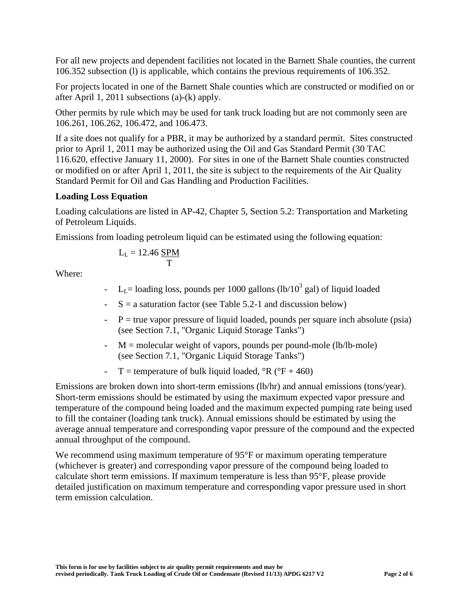For all new projects and dependent facilities not located in the Barnett Shale counties, the current 106.352 subsection (l) is applicable, which contains the previous requirements of 106.352.

For projects located in one of the Barnett Shale counties which are constructed or modified on or after April 1, 2011 subsections (a)-(k) apply.

Other permits by rule which may be used for tank truck loading but are not commonly seen are 106.261, 106.262, 106.472, and 106.473.

If a site does not qualify for a PBR, it may be authorized by a standard permit. Sites constructed prior to April 1, 2011 may be authorized using the Oil and Gas Standard Permit (30 TAC 116.620, effective January 11, 2000). For sites in one of the Barnett Shale counties constructed or modified on or after April 1, 2011, the site is subject to the requirements of the Air Quality Standard Permit for Oil and Gas Handling and Production Facilities.

# **Loading Loss Equation**

Loading calculations are listed in AP-42, Chapter 5, Section 5.2: Transportation and Marketing of Petroleum Liquids.

Emissions from loading petroleum liquid can be estimated using the following equation:

$$
L_L = 12.46 \frac{SPM}{T}
$$

Where:

- $L_{L}$  = loading loss, pounds per 1000 gallons (lb/10<sup>3</sup> gal) of liquid loaded
- $-S = a$  saturation factor (see Table 5.2-1 and discussion below)
- $P =$  true vapor pressure of liquid loaded, pounds per square inch absolute (psia) (see Section 7.1, "Organic Liquid Storage Tanks")
- $-M =$  molecular weight of vapors, pounds per pound-mole (lb/lb-mole) (see Section 7.1, "Organic Liquid Storage Tanks")
- T = temperature of bulk liquid loaded,  ${}^{\circ}R$  ( ${}^{\circ}F + 460$ )

Emissions are broken down into short-term emissions (lb/hr) and annual emissions (tons/year). Short-term emissions should be estimated by using the maximum expected vapor pressure and temperature of the compound being loaded and the maximum expected pumping rate being used to fill the container (loading tank truck). Annual emissions should be estimated by using the average annual temperature and corresponding vapor pressure of the compound and the expected annual throughput of the compound.

We recommend using maximum temperature of 95<sup>o</sup>F or maximum operating temperature (whichever is greater) and corresponding vapor pressure of the compound being loaded to calculate short term emissions. If maximum temperature is less than 95°F, please provide detailed justification on maximum temperature and corresponding vapor pressure used in short term emission calculation.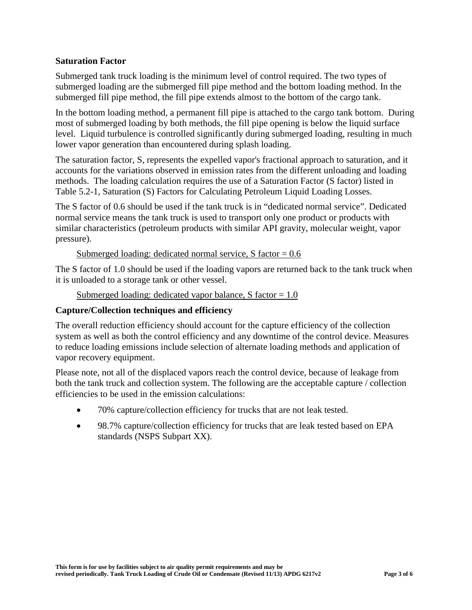#### **Saturation Factor**

Submerged tank truck loading is the minimum level of control required. The two types of submerged loading are the submerged fill pipe method and the bottom loading method. In the submerged fill pipe method, the fill pipe extends almost to the bottom of the cargo tank.

In the bottom loading method, a permanent fill pipe is attached to the cargo tank bottom. During most of submerged loading by both methods, the fill pipe opening is below the liquid surface level. Liquid turbulence is controlled significantly during submerged loading, resulting in much lower vapor generation than encountered during splash loading.

The saturation factor, S, represents the expelled vapor's fractional approach to saturation, and it accounts for the variations observed in emission rates from the different unloading and loading methods. The loading calculation requires the use of a Saturation Factor (S factor) listed in Table 5.2-1, Saturation (S) Factors for Calculating Petroleum Liquid Loading Losses.

The S factor of 0.6 should be used if the tank truck is in "dedicated normal service". Dedicated normal service means the tank truck is used to transport only one product or products with similar characteristics (petroleum products with similar API gravity, molecular weight, vapor pressure).

Submerged loading: dedicated normal service,  $S$  factor = 0.6

The S factor of 1.0 should be used if the loading vapors are returned back to the tank truck when it is unloaded to a storage tank or other vessel.

```
Submerged loading: dedicated vapor balance, S factor = 1.0
```
# **Capture/Collection techniques and efficiency**

The overall reduction efficiency should account for the capture efficiency of the collection system as well as both the control efficiency and any downtime of the control device. Measures to reduce loading emissions include selection of alternate loading methods and application of vapor recovery equipment.

Please note, not all of the displaced vapors reach the control device, because of leakage from both the tank truck and collection system. The following are the acceptable capture / collection efficiencies to be used in the emission calculations:

- 70% capture/collection efficiency for trucks that are not leak tested.
- 98.7% capture/collection efficiency for trucks that are leak tested based on EPA standards (NSPS Subpart XX).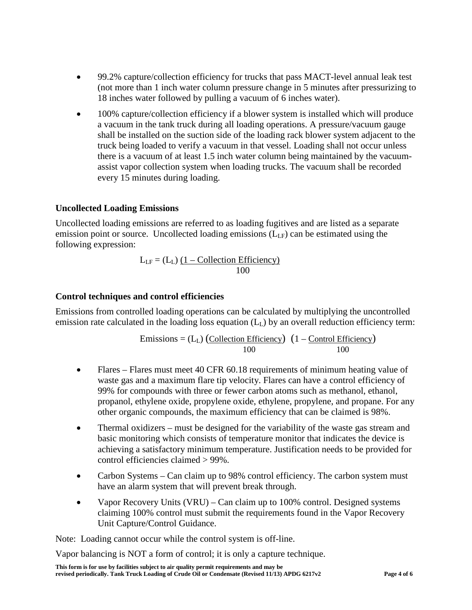- 99.2% capture/collection efficiency for trucks that pass MACT-level annual leak test (not more than 1 inch water column pressure change in 5 minutes after pressurizing to 18 inches water followed by pulling a vacuum of 6 inches water).
- 100% capture/collection efficiency if a blower system is installed which will produce a vacuum in the tank truck during all loading operations. A pressure/vacuum gauge shall be installed on the suction side of the loading rack blower system adjacent to the truck being loaded to verify a vacuum in that vessel. Loading shall not occur unless there is a vacuum of at least 1.5 inch water column being maintained by the vacuumassist vapor collection system when loading trucks. The vacuum shall be recorded every 15 minutes during loading.

## **Uncollected Loading Emissions**

Uncollected loading emissions are referred to as loading fugitives and are listed as a separate emission point or source. Uncollected loading emissions  $(L<sub>LF</sub>)$  can be estimated using the following expression:

$$
L_{LF} = (L_{L}) \underbrace{(1 - Collection Efficiency)}_{100}
$$

## **Control techniques and control efficiencies**

Emissions from controlled loading operations can be calculated by multiplying the uncontrolled emission rate calculated in the loading loss equation  $(L<sub>L</sub>)$  by an overall reduction efficiency term:

$$
Emissions = (LL) (Collection Efficiency) (1 - Control Efficiency)
$$
  
100 100

- Flares Flares must meet 40 CFR 60.18 requirements of minimum heating value of waste gas and a maximum flare tip velocity. Flares can have a control efficiency of 99% for compounds with three or fewer carbon atoms such as methanol, ethanol, propanol, ethylene oxide, propylene oxide, ethylene, propylene, and propane. For any other organic compounds, the maximum efficiency that can be claimed is 98%.
- Thermal oxidizers must be designed for the variability of the waste gas stream and basic monitoring which consists of temperature monitor that indicates the device is achieving a satisfactory minimum temperature. Justification needs to be provided for control efficiencies claimed > 99%.
- Carbon Systems Can claim up to 98% control efficiency. The carbon system must have an alarm system that will prevent break through.
- Vapor Recovery Units (VRU) Can claim up to 100% control. Designed systems claiming 100% control must submit the requirements found in the Vapor Recovery Unit Capture/Control Guidance.

Note: Loading cannot occur while the control system is off-line.

Vapor balancing is NOT a form of control; it is only a capture technique.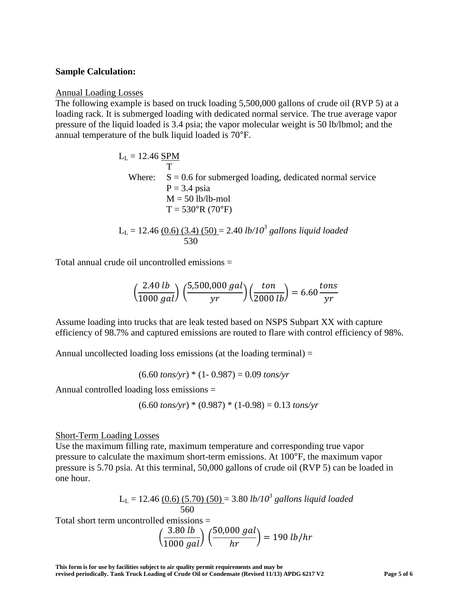#### **Sample Calculation:**

#### Annual Loading Losses

The following example is based on truck loading 5,500,000 gallons of crude oil (RVP 5) at a loading rack. It is submerged loading with dedicated normal service. The true average vapor pressure of the liquid loaded is 3.4 psia; the vapor molecular weight is 50 lb/lbmol; and the annual temperature of the bulk liquid loaded is 70°F.

> $L_L = 12.46$  SPM T Where:  $S = 0.6$  for submerged loading, dedicated normal service  $P = 3.4$  psia  $M = 50$  lb/lb-mol  $T = 530^{\circ}R(70^{\circ}F)$

LL = 12.46 (0.6) (3.4) (50) = 2.40 *lb/103 gallons liquid loaded* 530

Total annual crude oil uncontrolled emissions =

$$
\left(\frac{2.40 \, lb}{1000 \, gal}\right) \left(\frac{5,500,000 \, gal}{yr}\right) \left(\frac{ton}{2000 \, lb}\right) = 6.60 \, \frac{tons}{yr}
$$

Assume loading into trucks that are leak tested based on NSPS Subpart XX with capture efficiency of 98.7% and captured emissions are routed to flare with control efficiency of 98%.

Annual uncollected loading loss emissions (at the loading terminal)  $=$ 

 $(6.60 \text{ tons/yr}) * (1 - 0.987) = 0.09 \text{ tons/yr}$ 

Annual controlled loading loss emissions =

$$
(6.60 \text{ tons/yr}) * (0.987) * (1-0.98) = 0.13 \text{ tons/yr}
$$

#### Short-Term Loading Losses

Use the maximum filling rate, maximum temperature and corresponding true vapor pressure to calculate the maximum short-term emissions. At 100°F, the maximum vapor pressure is 5.70 psia. At this terminal, 50,000 gallons of crude oil (RVP 5) can be loaded in one hour.

> LL = 12.46 (0.6) (5.70) (50) = 3.80 *lb/10<sup>3</sup> gallons liquid loaded* 560

Total short term uncontrolled emissions =

$$
\left(\frac{3.80 \; lb}{1000 \; gal}\right) \left(\frac{50,000 \; gal}{hr}\right) = 190 \; lb/hr
$$